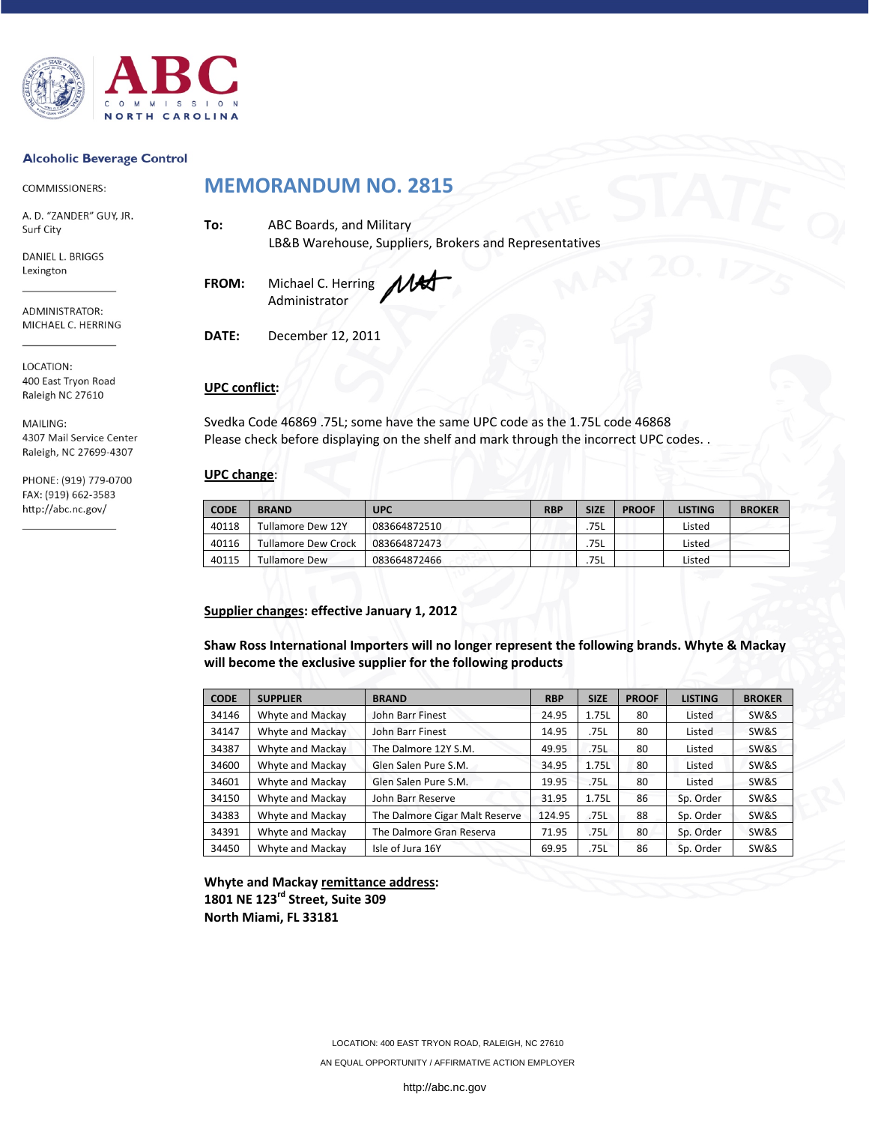

#### **Alcoholic Beverage Control**

COMMISSIONERS:

A. D. "ZANDER" GUY, JR. Surf City

DANIEL L. BRIGGS Lexington

ADMINISTRATOR: MICHAEL C. HERRING

LOCATION: 400 East Tryon Road Raleigh NC 27610

MAILING: 4307 Mail Service Center Raleigh, NC 27699-4307

PHONE: (919) 779-0700 FAX: (919) 662-3583 http://abc.nc.gov/

# **MEMORANDUM NO. 2815**

**To:** ABC Boards, and Military LB&B Warehouse, Suppliers, Brokers and Representatives

**FROM:** Michael C. Herring Administrator

**DATE:** December 12, 2011

# **UPC conflict:**

Svedka Code 46869 .75L; some have the same UPC code as the 1.75L code 46868 Please check before displaying on the shelf and mark through the incorrect UPC codes. .

# **UPC change**:

| <b>CODE</b> | <b>BRAND</b>               | <b>UPC</b>   | <b>RBP</b> | <b>SIZE</b> | <b>PROOF</b> | <b>LISTING</b> | <b>BROKER</b> |
|-------------|----------------------------|--------------|------------|-------------|--------------|----------------|---------------|
| 40118       | <b>Tullamore Dew 12Y</b>   | 083664872510 |            | 75L         |              | Listed         |               |
| 40116       | <b>Tullamore Dew Crock</b> | 083664872473 |            | 75L         |              | Listed         |               |
| 40115       | Tullamore Dew              | 083664872466 |            | 75L         |              | Listed         |               |

## **Supplier changes: effective January 1, 2012**

**Shaw Ross International Importers will no longer represent the following brands. Whyte & Mackay will become the exclusive supplier for the following products**

| <b>CODE</b> | <b>SUPPLIER</b>  | <b>BRAND</b>                   | <b>RBP</b> | <b>SIZE</b> | <b>PROOF</b> | <b>LISTING</b> | <b>BROKER</b> |  |  |  |
|-------------|------------------|--------------------------------|------------|-------------|--------------|----------------|---------------|--|--|--|
| 34146       | Whyte and Mackay | John Barr Finest               | 24.95      | 1.75L       | 80           | Listed         | SW&S          |  |  |  |
| 34147       | Whyte and Mackay | John Barr Finest               | 14.95      | .75L        | 80           | Listed         | SW&S          |  |  |  |
| 34387       | Whyte and Mackay | The Dalmore 12Y S.M.           | 49.95      | .75L        | 80           | Listed         | SW&S          |  |  |  |
| 34600       | Whyte and Mackay | Glen Salen Pure S.M.           | 34.95      | 1.75L       | 80           | Listed         | SW&S          |  |  |  |
| 34601       | Whyte and Mackay | Glen Salen Pure S.M.           | 19.95      | .75L        | 80           | Listed         | SW&S          |  |  |  |
| 34150       | Whyte and Mackay | John Barr Reserve              | 31.95      | 1.75L       | 86           | Sp. Order      | SW&S          |  |  |  |
| 34383       | Whyte and Mackay | The Dalmore Cigar Malt Reserve | 124.95     | .75L        | 88           | Sp. Order      | SW&S          |  |  |  |
| 34391       | Whyte and Mackay | The Dalmore Gran Reserva       | 71.95      | .75L        | 80           | Sp. Order      | SW&S          |  |  |  |
| 34450       | Whyte and Mackay | Isle of Jura 16Y               | 69.95      | .75L        | 86           | Sp. Order      | SW&S          |  |  |  |

**Whyte and Mackay remittance address: 1801 NE 123rd Street, Suite 309 North Miami, FL 33181**

LOCATION: 400 EAST TRYON ROAD, RALEIGH, NC 27610

AN EQUAL OPPORTUNITY / AFFIRMATIVE ACTION EMPLOYER

http://abc.nc.gov